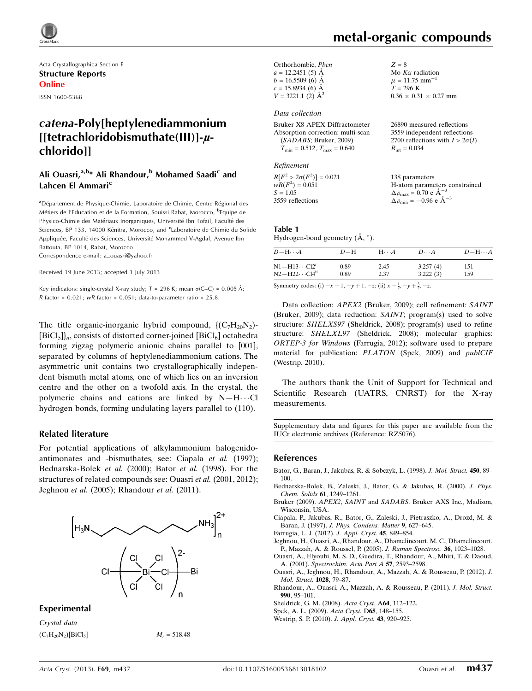

Acta Crystallographica Section E Structure Reports Online

ISSN 1600-5368

# catena-Poly[heptylenediammonium  $[$ [[tetrachloridobismuthate $($  $|$ ]])]- $\mu$ chlorido]]

# Ali Ouasri,<sup>a,b\*</sup> Ali Rhandour,<sup>b</sup> Mohamed Saadi<sup>c</sup> and Lahcen El Ammari<sup>c</sup>

<sup>a</sup>Département de Physique-Chimie, Laboratoire de Chimie, Centre Régional des Métiers de l'Education et de la Formation, Souissi Rabat, Morocco, <sup>b</sup>Equipe de Physico-Chimie des Matériaux Inorganiques, Université Ibn Tofail, Faculté des Sciences, BP 133, 14000 Kénitra, Morocco, and <sup>c</sup>Laboratoire de Chimie du Solide Appliquée, Faculté des Sciences, Université Mohammed V-Agdal, Avenue Ibn Battouta, BP 1014, Rabat, Morocco

Correspondence e-mail: [a\\_ouasri@yahoo.fr](https://scripts.iucr.org/cgi-bin/cr.cgi?rm=pdfbb&cnor=rz5076&bbid=BB12)

Received 19 June 2013; accepted 1 July 2013

Key indicators: single-crystal X-ray study;  $T = 296$  K; mean  $\sigma$ (C–C) = 0.005 Å; R factor =  $0.021$ ; wR factor =  $0.051$ ; data-to-parameter ratio =  $25.8$ .

The title organic-inorganic hybrid compound,  $\{(\mathrm{C_7H_{20}N_2})\}$  $[BiCl<sub>5</sub>]<sub>n</sub>$ , consists of distorted corner-joined  $[BiCl<sub>6</sub>]$  octahedra forming zigzag polymeric anionic chains parallel to [001], separated by columns of heptylenediammonium cations. The asymmetric unit contains two crystallographically independent bismuth metal atoms, one of which lies on an inversion centre and the other on a twofold axis. In the crystal, the polymeric chains and cations are linked by  $N-H\cdots$ Cl hydrogen bonds, forming undulating layers parallel to (110).

#### Related literature

For potential applications of alkylammonium halogenidoantimonates and -bismuthates, see: Ciapala et al. (1997); Bednarska-Bolek et al. (2000); Bator et al. (1998). For the structures of related compounds see: Ouasri et al. (2001, 2012); Jeghnou et al. (2005); Rhandour et al. (2011).



#### Experimental

Crystal data  $(C_7H_{20}N_2)[\text{BiCl}_5]$   $M_r = 518.48$ 

Mo  $K\alpha$  radiation  $\mu = 11.75$  mm<sup>-1</sup>  $T = 296$  K

 $R_{\text{int}} = 0.034$ 

 $0.36 \times 0.31 \times 0.27$  mm

26890 measured reflections 3559 independent reflections 2700 reflections with  $I > 2\sigma(I)$ 

 $Z = 8$ 

| Orthorhombic, Pbcn       |
|--------------------------|
| $a = 12.2451(5)$ Å       |
| $b = 16.5509(6)$ Å       |
| $c = 15.8934(6)$ Å       |
| $V = 3221.1$ (2) $\AA^3$ |

Data collection

| Bruker X8 APEX Diffractometer                    |
|--------------------------------------------------|
| Absorption correction: multi-scan                |
| (SADABS; Bruker, 2009)                           |
| $T_{\text{min}} = 0.512, T_{\text{max}} = 0.640$ |

Refinement

 $R[F^2 > 2\sigma(F^2)] = 0.021$  $wR(F^2) = 0.051$  $S = 1.05$ 3559 reflections 138 parameters H-atom parameters constrained  $\Delta \rho_{\text{max}} = 0.70 \text{ e A}^{-3}$  $\Delta \rho_{\rm min} = -0.96 \text{ e A}^{-3}$ 

#### Table 1 Hydrogen-bond geometry  $(\AA, \degree)$ .

| $D - H \cdots A$           | $D-H$ | $H \cdots A$ | $D\cdots A$ | $D - H \cdots A$ |
|----------------------------|-------|--------------|-------------|------------------|
| $N1 - H13 \cdots Cl21$     | 0.89  | 2.45         | 3.257(4)    | 151              |
| $N2 - H22 \cdots Cl4^{ii}$ | 0.89  | 2.37         | 3.222(3)    | 159              |

Symmetry codes: (i)  $-x + 1$ ,  $-y + 1$ ,  $-z$ ; (ii)  $x - \frac{1}{2}$ ,  $-y + \frac{3}{2}$ ,  $-z$ .

Data collection: APEX2 (Bruker, 2009); cell refinement: SAINT (Bruker, 2009); data reduction: SAINT; program(s) used to solve structure: SHELXS97 (Sheldrick, 2008); program(s) used to refine structure: SHELXL97 (Sheldrick, 2008); molecular graphics: ORTEP-3 for Windows (Farrugia, 2012); software used to prepare material for publication: PLATON (Spek, 2009) and publCIF (Westrip, 2010).

The authors thank the Unit of Support for Technical and Scientific Research (UATRS, CNRST) for the X-ray measurements.

Supplementary data and figures for this paper are available from the IUCr electronic archives (Reference: RZ5076).

#### References

- [Bator, G., Baran, J., Jakubas, R. & Sobczyk, L. \(1998\).](https://scripts.iucr.org/cgi-bin/cr.cgi?rm=pdfbb&cnor=rz5076&bbid=BB1) J. Mol. Struct. 450, 89– [100.](https://scripts.iucr.org/cgi-bin/cr.cgi?rm=pdfbb&cnor=rz5076&bbid=BB1)
- [Bednarska-Bolek, B., Zaleski, J., Bator, G. & Jakubas, R. \(2000\).](https://scripts.iucr.org/cgi-bin/cr.cgi?rm=pdfbb&cnor=rz5076&bbid=BB2) J. Phys. [Chem. Solids](https://scripts.iucr.org/cgi-bin/cr.cgi?rm=pdfbb&cnor=rz5076&bbid=BB2) 61, 1249–1261.
- Bruker (2009). APEX2, SAINT and SADABS[. Bruker AXS Inc., Madison,](https://scripts.iucr.org/cgi-bin/cr.cgi?rm=pdfbb&cnor=rz5076&bbid=BB3) [Wisconsin, USA.](https://scripts.iucr.org/cgi-bin/cr.cgi?rm=pdfbb&cnor=rz5076&bbid=BB3)
- [Ciapala, P., Jakubas, R., Bator, G., Zaleski, J., Pietraszko, A., Drozd, M. &](https://scripts.iucr.org/cgi-bin/cr.cgi?rm=pdfbb&cnor=rz5076&bbid=BB4) Baran, J. (1997). [J. Phys. Condens. Matter](https://scripts.iucr.org/cgi-bin/cr.cgi?rm=pdfbb&cnor=rz5076&bbid=BB4) 9, 627–645.
- [Farrugia, L. J. \(2012\).](https://scripts.iucr.org/cgi-bin/cr.cgi?rm=pdfbb&cnor=rz5076&bbid=BB5) J. Appl. Cryst. 45, 849–854.
- [Jeghnou, H., Ouasri, A., Rhandour, A., Dhamelincourt, M. C., Dhamelincourt,](https://scripts.iucr.org/cgi-bin/cr.cgi?rm=pdfbb&cnor=rz5076&bbid=BB6) [P., Mazzah, A. & Roussel, P. \(2005\).](https://scripts.iucr.org/cgi-bin/cr.cgi?rm=pdfbb&cnor=rz5076&bbid=BB6) J. Raman Spectrosc. 36, 1023–1028.
- [Ouasri, A., Elyoubi, M. S. D., Guedira, T., Rhandour, A., Mhiri, T. & Daoud,](https://scripts.iucr.org/cgi-bin/cr.cgi?rm=pdfbb&cnor=rz5076&bbid=BB7) A. (2001). [Spectrochim. Acta Part A](https://scripts.iucr.org/cgi-bin/cr.cgi?rm=pdfbb&cnor=rz5076&bbid=BB7) 57, 2593–2598.
- [Ouasri, A., Jeghnou, H., Rhandour, A., Mazzah, A. & Rousseau, P. \(2012\).](https://scripts.iucr.org/cgi-bin/cr.cgi?rm=pdfbb&cnor=rz5076&bbid=BB8) J. [Mol. Struct.](https://scripts.iucr.org/cgi-bin/cr.cgi?rm=pdfbb&cnor=rz5076&bbid=BB8) 1028, 79–87.
- [Rhandour, A., Ouasri, A., Mazzah, A. & Rousseau, P. \(2011\).](https://scripts.iucr.org/cgi-bin/cr.cgi?rm=pdfbb&cnor=rz5076&bbid=BB9) J. Mol. Struct. 990[, 95–101.](https://scripts.iucr.org/cgi-bin/cr.cgi?rm=pdfbb&cnor=rz5076&bbid=BB9)
- [Sheldrick, G. M. \(2008\).](https://scripts.iucr.org/cgi-bin/cr.cgi?rm=pdfbb&cnor=rz5076&bbid=BB10) Acta Cryst. A64, 112–122.
- [Spek, A. L. \(2009\).](https://scripts.iucr.org/cgi-bin/cr.cgi?rm=pdfbb&cnor=rz5076&bbid=BB11) Acta Cryst. D65, 148–155.
- [Westrip, S. P. \(2010\).](https://scripts.iucr.org/cgi-bin/cr.cgi?rm=pdfbb&cnor=rz5076&bbid=BB12) J. Appl. Cryst. 43, 920–925.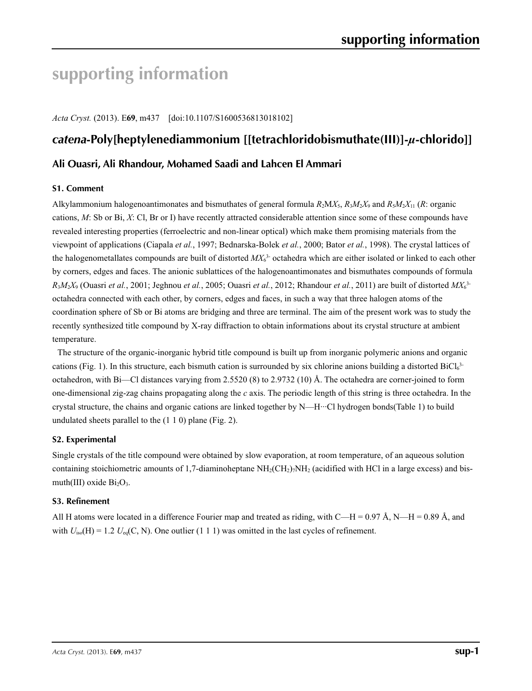# **supporting information**

*Acta Cryst.* (2013). E**69**, m437 [doi:10.1107/S1600536813018102]

# *catena***-Poly[heptylenediammonium [[tetrachloridobismuthate(III)]-***µ***-chlorido]]**

# **Ali Ouasri, Ali Rhandour, Mohamed Saadi and Lahcen El Ammari**

## **S1. Comment**

Alkylammonium halogenoantimonates and bismuthates of general formula  $R_2MX_5$ ,  $R_3M_2X_9$  and  $R_5M_2X_{11}$  (*R*: organic cations, *M*: Sb or Bi, *X*: Cl, Br or I) have recently attracted considerable attention since some of these compounds have revealed interesting properties (ferroelectric and non-linear optical) which make them promising materials from the viewpoint of applications (Ciapala *et al.*, 1997; Bednarska-Bolek *et al.*, 2000; Bator *et al.*, 1998). The crystal lattices of the halogenometallates compounds are built of distorted *MX*<sup>6</sup> 3- octahedra which are either isolated or linked to each other by corners, edges and faces. The anionic sublattices of the halogenoantimonates and bismuthates compounds of formula *R*3*M*2*X*9 (Ouasri *et al.*, 2001; Jeghnou *et al.*, 2005; Ouasri *et al.*, 2012; Rhandour *et al.*, 2011) are built of distorted *MX*<sup>6</sup> 3 octahedra connected with each other, by corners, edges and faces, in such a way that three halogen atoms of the coordination sphere of Sb or Bi atoms are bridging and three are terminal. The aim of the present work was to study the recently synthesized title compound by X-ray diffraction to obtain informations about its crystal structure at ambient temperature.

The structure of the organic-inorganic hybrid title compound is built up from inorganic polymeric anions and organic cations (Fig. 1). In this structure, each bismuth cation is surrounded by six chlorine anions building a distorted  $BiCl_6^{3-}$ octahedron, with Bi—Cl distances varying from 2.5520 (8) to 2.9732 (10) Å. The octahedra are corner-joined to form one-dimensional zig-zag chains propagating along the *c* axis. The periodic length of this string is three octahedra. In the crystal structure, the chains and organic cations are linked together by N—H···Cl hydrogen bonds(Table 1) to build undulated sheets parallel to the (1 1 0) plane (Fig. 2).

# **S2. Experimental**

Single crystals of the title compound were obtained by slow evaporation, at room temperature, of an aqueous solution containing stoichiometric amounts of 1,7-diaminoheptane  $NH<sub>2</sub>(CH<sub>2</sub>)<sub>7</sub>NH<sub>2</sub>$  (acidified with HCl in a large excess) and bismuth(III) oxide  $Bi<sub>2</sub>O<sub>3</sub>$ .

#### **S3. Refinement**

All H atoms were located in a difference Fourier map and treated as riding, with C—H = 0.97 Å, N—H = 0.89 Å, and with  $U_{\text{iso}}(H) = 1.2 U_{\text{eq}}(C, N)$ . One outlier (1 1 1) was omitted in the last cycles of refinement.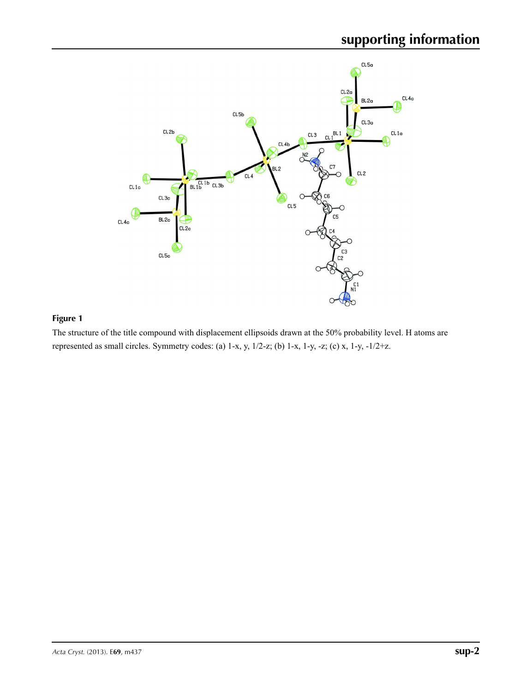

# **Figure 1**

The structure of the title compound with displacement ellipsoids drawn at the 50% probability level. H atoms are represented as small circles. Symmetry codes: (a) 1-x, y, 1/2-z; (b) 1-x, 1-y, -z; (c) x, 1-y, -1/2+z.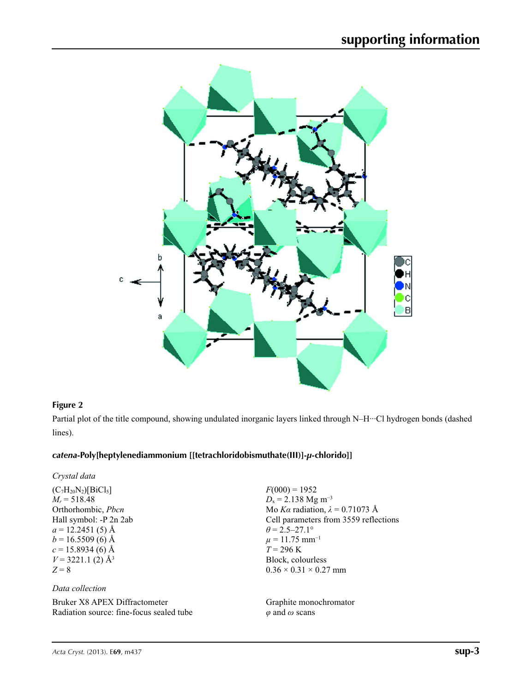

#### **Figure 2**

Partial plot of the title compound, showing undulated inorganic layers linked through N–H···Cl hydrogen bonds (dashed lines).

## *catena***-Poly[heptylenediammonium [[tetrachloridobismuthate(III)]-***µ***-chlorido]]**

 $(C_7H_{20}N_2)[BiCl_5]$  $M_r = 518.48$ Orthorhombic, *Pbcn* Hall symbol: -P 2n 2ab  $a = 12.2451(5)$  Å  $b = 16.5509(6)$  Å  $c = 15.8934(6)$  Å  $V = 3221.1$  (2)  $\AA$ <sup>3</sup> *Z* = 8

## *Data collection*

Bruker X8 APEX Diffractometer Radiation source: fine-focus sealed tube  $F(000) = 1952$  $D_x = 2.138$  Mg m<sup>-3</sup> Mo *Kα* radiation, *λ* = 0.71073 Å Cell parameters from 3559 reflections  $\theta$  = 2.5–27.1°  $\mu = 11.75$  mm<sup>-1</sup>  $T = 296 \text{ K}$ Block, colourless  $0.36 \times 0.31 \times 0.27$  mm

Graphite monochromator *φ* and *ω* scans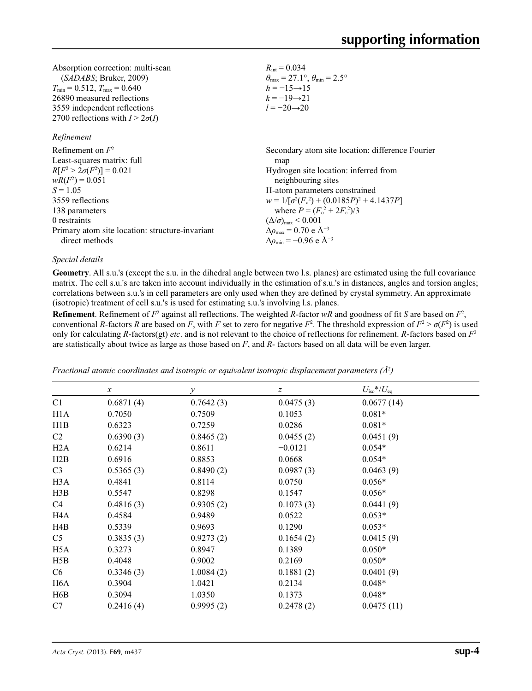| Absorption correction: multi-scan       | $R_{\text{int}} = 0.034$                                                |
|-----------------------------------------|-------------------------------------------------------------------------|
| (SADABS; Bruker, 2009)                  | $\theta_{\text{max}} = 27.1^{\circ}, \theta_{\text{min}} = 2.5^{\circ}$ |
| $T_{\min} = 0.512$ , $T_{\max} = 0.640$ | $h = -15 \rightarrow 15$                                                |
| 26890 measured reflections              | $k = -19 \rightarrow 21$                                                |
| 3559 independent reflections            | $l = -20 \rightarrow 20$                                                |
| 2700 reflections with $I > 2\sigma(I)$  |                                                                         |

#### *Refinement*

| Refinement on $F^2$                             | Secondary atom site location: difference Fourier   |
|-------------------------------------------------|----------------------------------------------------|
| Least-squares matrix: full                      | map                                                |
| $R[F^2 > 2\sigma(F^2)] = 0.021$                 | Hydrogen site location: inferred from              |
| $wR(F^2) = 0.051$                               | neighbouring sites                                 |
| $S = 1.05$                                      | H-atom parameters constrained                      |
| 3559 reflections                                | $w = 1/[\sigma^2(F_0^2) + (0.0185P)^2 + 4.1437P]$  |
| 138 parameters                                  | where $P = (F_o^2 + 2F_c^2)/3$                     |
| 0 restraints                                    | $(\Delta/\sigma)_{\text{max}}$ < 0.001             |
| Primary atom site location: structure-invariant | $\Delta\rho_{\text{max}}$ = 0.70 e Å <sup>-3</sup> |
| direct methods                                  | $\Delta\rho_{\rm min} = -0.96$ e Å <sup>-3</sup>   |

#### *Special details*

**Geometry**. All s.u.'s (except the s.u. in the dihedral angle between two l.s. planes) are estimated using the full covariance matrix. The cell s.u.'s are taken into account individually in the estimation of s.u.'s in distances, angles and torsion angles; correlations between s.u.'s in cell parameters are only used when they are defined by crystal symmetry. An approximate (isotropic) treatment of cell s.u.'s is used for estimating s.u.'s involving l.s. planes.

**Refinement**. Refinement of  $F^2$  against all reflections. The weighted R-factor wR and goodness of fit *S* are based on  $F^2$ , conventional *R*-factors *R* are based on *F*, with *F* set to zero for negative  $F^2$ . The threshold expression of  $F^2 > \sigma(F^2)$  is used only for calculating *R*-factors(gt) *etc*. and is not relevant to the choice of reflections for refinement. *R*-factors based on *F*<sup>2</sup> are statistically about twice as large as those based on *F*, and *R*- factors based on all data will be even larger.

|                  | $\boldsymbol{\chi}$ | $\mathcal{Y}$ | $\boldsymbol{Z}$ | $U_{\rm iso}$ */ $U_{\rm eq}$ |  |
|------------------|---------------------|---------------|------------------|-------------------------------|--|
| C1               | 0.6871(4)           | 0.7642(3)     | 0.0475(3)        | 0.0677(14)                    |  |
| H <sub>1</sub> A | 0.7050              | 0.7509        | 0.1053           | $0.081*$                      |  |
| H1B              | 0.6323              | 0.7259        | 0.0286           | $0.081*$                      |  |
| C2               | 0.6390(3)           | 0.8465(2)     | 0.0455(2)        | 0.0451(9)                     |  |
| H2A              | 0.6214              | 0.8611        | $-0.0121$        | $0.054*$                      |  |
| H2B              | 0.6916              | 0.8853        | 0.0668           | $0.054*$                      |  |
| C <sub>3</sub>   | 0.5365(3)           | 0.8490(2)     | 0.0987(3)        | 0.0463(9)                     |  |
| H <sub>3</sub> A | 0.4841              | 0.8114        | 0.0750           | $0.056*$                      |  |
| H3B              | 0.5547              | 0.8298        | 0.1547           | $0.056*$                      |  |
| C4               | 0.4816(3)           | 0.9305(2)     | 0.1073(3)        | 0.0441(9)                     |  |
| H <sub>4</sub> A | 0.4584              | 0.9489        | 0.0522           | $0.053*$                      |  |
| H4B              | 0.5339              | 0.9693        | 0.1290           | $0.053*$                      |  |
| C <sub>5</sub>   | 0.3835(3)           | 0.9273(2)     | 0.1654(2)        | 0.0415(9)                     |  |
| H <sub>5</sub> A | 0.3273              | 0.8947        | 0.1389           | $0.050*$                      |  |
| H5B              | 0.4048              | 0.9002        | 0.2169           | $0.050*$                      |  |
| C <sub>6</sub>   | 0.3346(3)           | 1.0084(2)     | 0.1881(2)        | 0.0401(9)                     |  |
| H <sub>6</sub> A | 0.3904              | 1.0421        | 0.2134           | $0.048*$                      |  |
| H <sub>6</sub> B | 0.3094              | 1.0350        | 0.1373           | $0.048*$                      |  |
| C7               | 0.2416(4)           | 0.9995(2)     | 0.2478(2)        | 0.0475(11)                    |  |
|                  |                     |               |                  |                               |  |

*Fractional atomic coordinates and isotropic or equivalent isotropic displacement parameters (Å<sup>2</sup>)*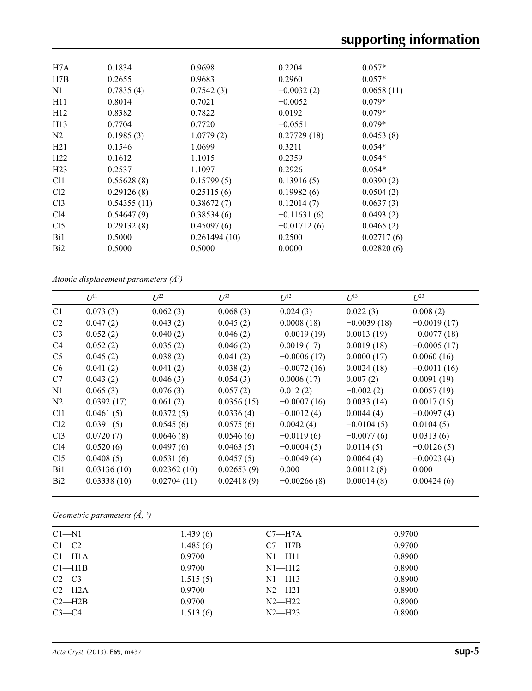| H7A             | 0.1834      | 0.9698       | 0.2204        | $0.057*$   |
|-----------------|-------------|--------------|---------------|------------|
| H7B             | 0.2655      | 0.9683       | 0.2960        | $0.057*$   |
| N1              | 0.7835(4)   | 0.7542(3)    | $-0.0032(2)$  | 0.0658(11) |
| H11             | 0.8014      | 0.7021       | $-0.0052$     | $0.079*$   |
| H12             | 0.8382      | 0.7822       | 0.0192        | $0.079*$   |
| H13             | 0.7704      | 0.7720       | $-0.0551$     | $0.079*$   |
| N <sub>2</sub>  | 0.1985(3)   | 1.0779(2)    | 0.27729(18)   | 0.0453(8)  |
| H21             | 0.1546      | 1.0699       | 0.3211        | $0.054*$   |
| H22             | 0.1612      | 1.1015       | 0.2359        | $0.054*$   |
| H <sub>23</sub> | 0.2537      | 1.1097       | 0.2926        | $0.054*$   |
| C <sub>11</sub> | 0.55628(8)  | 0.15799(5)   | 0.13916(5)    | 0.0390(2)  |
| Cl <sub>2</sub> | 0.29126(8)  | 0.25115(6)   | 0.19982(6)    | 0.0504(2)  |
| Cl <sub>3</sub> | 0.54355(11) | 0.38672(7)   | 0.12014(7)    | 0.0637(3)  |
| C14             | 0.54647(9)  | 0.38534(6)   | $-0.11631(6)$ | 0.0493(2)  |
| Cl <sub>5</sub> | 0.29132(8)  | 0.45097(6)   | $-0.01712(6)$ | 0.0465(2)  |
| Bi1             | 0.5000      | 0.261494(10) | 0.2500        | 0.02717(6) |
| B <sub>i2</sub> | 0.5000      | 0.5000       | 0.0000        | 0.02820(6) |
|                 |             |              |               |            |

*Atomic displacement parameters (Å2 )*

|                 | $U^{11}$    | $L^{22}$    | $\mathcal{L}^{\beta 3}$ | $U^{12}$      | $U^{13}$      | $L^{23}$      |
|-----------------|-------------|-------------|-------------------------|---------------|---------------|---------------|
| C <sub>1</sub>  | 0.073(3)    | 0.062(3)    | 0.068(3)                | 0.024(3)      | 0.022(3)      | 0.008(2)      |
| C <sub>2</sub>  | 0.047(2)    | 0.043(2)    | 0.045(2)                | 0.0008(18)    | $-0.0039(18)$ | $-0.0019(17)$ |
| C <sub>3</sub>  | 0.052(2)    | 0.040(2)    | 0.046(2)                | $-0.0019(19)$ | 0.0013(19)    | $-0.0077(18)$ |
| C4              | 0.052(2)    | 0.035(2)    | 0.046(2)                | 0.0019(17)    | 0.0019(18)    | $-0.0005(17)$ |
| C <sub>5</sub>  | 0.045(2)    | 0.038(2)    | 0.041(2)                | $-0.0006(17)$ | 0.0000(17)    | 0.0060(16)    |
| C <sub>6</sub>  | 0.041(2)    | 0.041(2)    | 0.038(2)                | $-0.0072(16)$ | 0.0024(18)    | $-0.0011(16)$ |
| C7              | 0.043(2)    | 0.046(3)    | 0.054(3)                | 0.0006(17)    | 0.007(2)      | 0.0091(19)    |
| N1              | 0.065(3)    | 0.076(3)    | 0.057(2)                | 0.012(2)      | $-0.002(2)$   | 0.0057(19)    |
| N2              | 0.0392(17)  | 0.061(2)    | 0.0356(15)              | $-0.0007(16)$ | 0.0033(14)    | 0.0017(15)    |
| C <sub>11</sub> | 0.0461(5)   | 0.0372(5)   | 0.0336(4)               | $-0.0012(4)$  | 0.0044(4)     | $-0.0097(4)$  |
| Cl <sub>2</sub> | 0.0391(5)   | 0.0545(6)   | 0.0575(6)               | 0.0042(4)     | $-0.0104(5)$  | 0.0104(5)     |
| Cl <sub>3</sub> | 0.0720(7)   | 0.0646(8)   | 0.0546(6)               | $-0.0119(6)$  | $-0.0077(6)$  | 0.0313(6)     |
| Cl4             | 0.0520(6)   | 0.0497(6)   | 0.0463(5)               | $-0.0004(5)$  | 0.0114(5)     | $-0.0126(5)$  |
| Cl <sub>5</sub> | 0.0408(5)   | 0.0531(6)   | 0.0457(5)               | $-0.0049(4)$  | 0.0064(4)     | $-0.0023(4)$  |
| Bi1             | 0.03136(10) | 0.02362(10) | 0.02653(9)              | 0.000         | 0.00112(8)    | 0.000         |
| Bi <sub>2</sub> | 0.03338(10) | 0.02704(11) | 0.02418(9)              | $-0.00266(8)$ | 0.00014(8)    | 0.00424(6)    |
|                 |             |             |                         |               |               |               |

*Geometric parameters (Å, º)*

| $C1 - N1$          | 1.439(6) | $C7 - H7A$ | 0.9700 |  |
|--------------------|----------|------------|--------|--|
| $C1-C2$            | 1.485(6) | $C7 - H7B$ | 0.9700 |  |
| Cl <sub>–H1A</sub> | 0.9700   | $N1 - H11$ | 0.8900 |  |
| Cl—H1B             | 0.9700   | $N1 - H12$ | 0.8900 |  |
| $C2-C3$            | 1.515(5) | $N1 - H13$ | 0.8900 |  |
| $C2-H2A$           | 0.9700   | $N2 - H21$ | 0.8900 |  |
| $C2 - H2B$         | 0.9700   | $N2-H22$   | 0.8900 |  |
| $C3-C4$            | 1.513(6) | $N2-H23$   | 0.8900 |  |
|                    |          |            |        |  |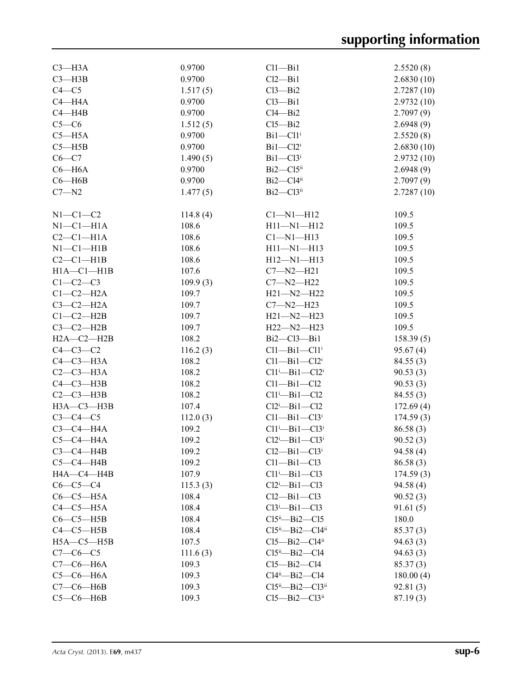| $C3 - H3A$       | 0.9700   | $Cl1 - Bi1$                       | 2.5520(8)  |
|------------------|----------|-----------------------------------|------------|
| $C3 - H3B$       | 0.9700   | Cl2—Bi1                           | 2.6830(10) |
| $C4 - C5$        | 1.517(5) | Cl3—Bi2                           | 2.7287(10) |
| $C4 - H4A$       | 0.9700   | Cl3—Bi1                           | 2.9732(10) |
| $C4 - H4B$       | 0.9700   | Cl4—Bi2                           | 2.7097(9)  |
| $C5-C6$          | 1.512(5) | $Cl5 - Bi2$                       | 2.6948(9)  |
|                  | 0.9700   |                                   |            |
| $C5 - H5A$       |          | $Bi1 - Cl1$ <sup>i</sup>          | 2.5520(8)  |
| $C5 - H5B$       | 0.9700   | $Bi1 - Cl2i$                      | 2.6830(10) |
| $C6-C7$          | 1.490(5) | $Bi1 - Cl3$ <sup>i</sup>          | 2.9732(10) |
| $C6 - H6A$       | 0.9700   | $Bi2 - Cl5$ <sup>ii</sup>         | 2.6948(9)  |
| $C6 - H6B$       | 0.9700   | $Bi2 - Cl4ii$                     | 2.7097(9)  |
| $C7 - N2$        | 1.477(5) | Bi2-Cl3ii                         | 2.7287(10) |
| $N1-C1-C2$       | 114.8(4) | $Cl-M1-H12$                       | 109.5      |
| $N1-C1-H1A$      | 108.6    | $H11 - N1 - H12$                  | 109.5      |
| $C2-C1-H1A$      | 108.6    | $Cl-M1-H13$                       | 109.5      |
| $N1-C1-H1B$      | 108.6    | $H11 - N1 - H13$                  | 109.5      |
| $C2-C1-H1B$      | 108.6    | $H12 - N1 - H13$                  | 109.5      |
| $H1A - C1 - H1B$ | 107.6    | $C7 - N2 - H21$                   | 109.5      |
|                  |          |                                   |            |
| $C1-C2-C3$       | 109.9(3) | $C7 - N2 - H22$                   | 109.5      |
| $C1-C2-H2A$      | 109.7    | $H21 - N2 - H22$                  | 109.5      |
| $C3-C2-H2A$      | 109.7    | $C7 - N2 - H23$                   | 109.5      |
| $C1-C2-H2B$      | 109.7    | $H21 - N2 - H23$                  | 109.5      |
| $C3-C2-H2B$      | 109.7    | $H22 - N2 - H23$                  | 109.5      |
| $H2A - C2 - H2B$ | 108.2    | Bi2—Cl3—Bi1                       | 158.39(5)  |
| $C4-C3-C2$       | 116.2(3) | $Cl1 - Bi1 - Cl1$ <sup>i</sup>    | 95.67(4)   |
| $C4-C3-H3A$      | 108.2    | $Cl1 - Bi1 - Cl2i$                | 84.55(3)   |
| $C2-C3-H3A$      | 108.2    | $Cl1^i$ -Bi $1$ -Cl2 <sup>i</sup> | 90.53(3)   |
| $C4 - C3 - H3B$  | 108.2    | $Cl1 - Bi1 - Cl2$                 | 90.53(3)   |
| $C2-C3-H3B$      | 108.2    | $Cl1^i$ -Bi $1$ -Cl2              | 84.55(3)   |
| $H3A - C3 - H3B$ | 107.4    | $Cl2^i$ -Bil-Cl2                  | 172.69(4)  |
| $C3-C4-C5$       | 112.0(3) | $Cl1$ —Bi $1$ —Cl $3i$            | 174.59(3)  |
| $C3-C4-H4A$      | 109.2    | $Cl1^i$ -Bi $1$ -Cl $3^i$         | 86.58(3)   |
| $C5-C4-H4A$      |          | $Cl2^i$ -Bi1-Cl3 <sup>i</sup>     |            |
|                  | 109.2    |                                   | 90.52(3)   |
| $C3-C4-HAB$      | 109.2    | $Cl2$ —Bi $1$ —Cl $3i$            | 94.58 (4)  |
| $C5-C4-HAB$      | 109.2    | $Cl1 - Bi1 - Cl3$                 | 86.58(3)   |
| HA—C4—H4B        | 107.9    | $Cl1^i$ -Bi $1$ -Cl3              | 174.59(3)  |
| $C6-C5-C4$       | 115.3(3) | $Cl2^i$ -Bi1-Cl3                  | 94.58(4)   |
| $C6-C5-H5A$      | 108.4    | Cl2—Bi1—Cl3                       | 90.52(3)   |
| $C4-C5-H5A$      | 108.4    | $Cl3^i$ -Bi1-Cl3                  | 91.61(5)   |
| $C6-C5-H5B$      | 108.4    | $Cl5^{ii}$ -Bi2-Cl5               | 180.0      |
| $C4-C5-HSB$      | 108.4    | $Cl5^{ii}$ -Bi2- $Cl4^{ii}$       | 85.37(3)   |
| $H5A - C5 - H5B$ | 107.5    | $Cl5 - Bi2 - Cl4ii$               | 94.63(3)   |
| $C7 - C6 - C5$   | 111.6(3) | $Cl5^{ii}$ -Bi2-Cl4               | 94.63(3)   |
| $C7-C6-H6A$      | 109.3    | $Cl5 - Bi2 - Cl4$                 | 85.37(3)   |
| $C5-C6-H6A$      | 109.3    | $Cl4^{ii}$ -Bi2-Cl4               | 180.00(4)  |
| $C7-C6-H6B$      | 109.3    | $Cl5^{ii}$ -Bi2- $Cl3^{ii}$       | 92.81(3)   |
| $C5-C6-H6B$      | 109.3    | $Cl5 - Bi2 - Cl3ii$               | 87.19(3)   |
|                  |          |                                   |            |